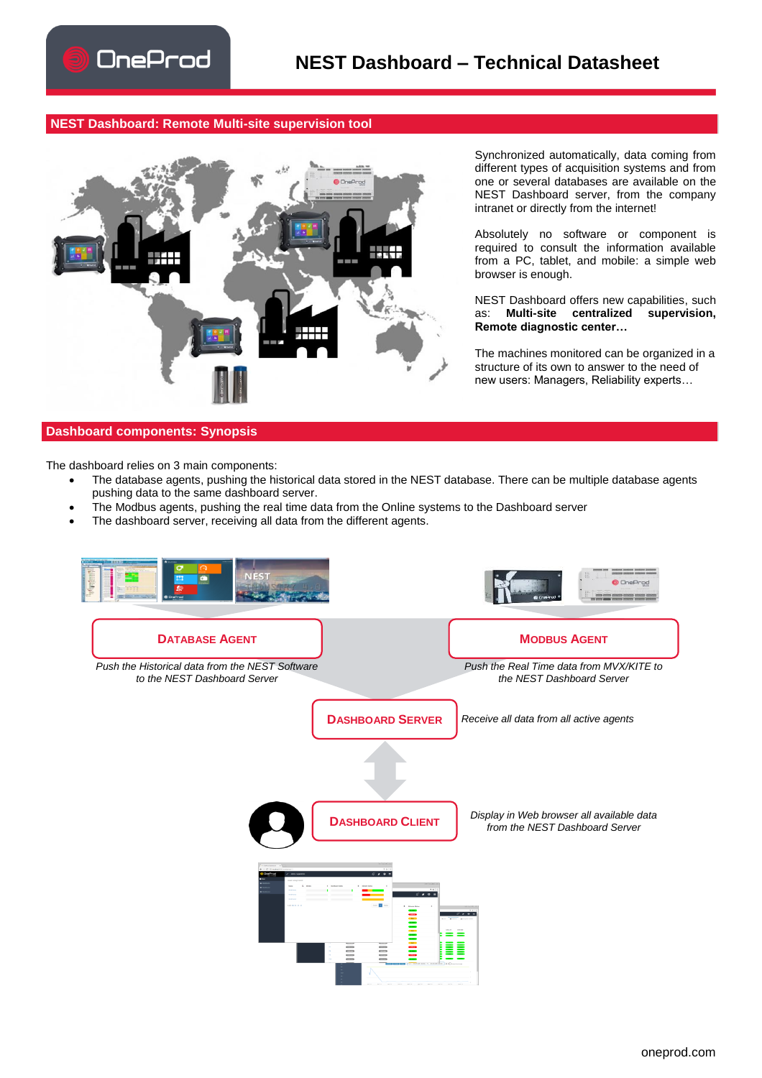## **NEST Dashboard: Remote Multi-site supervision tool**



Synchronized automatically, data coming from different types of acquisition systems and from one or several databases are available on the NEST Dashboard server, from the company intranet or directly from the internet!

Absolutely no software or component is required to consult the information available from a PC, tablet, and mobile: a simple web browser is enough.

NEST Dashboard offers new capabilities, such<br>as: **Multi-site centralized supervision**, as: **Multi-site centralized supervision, Remote diagnostic center…**

The machines monitored can be organized in a structure of its own to answer to the need of new users: Managers, Reliability experts…

## **Dashboard components: Synopsis**

The dashboard relies on 3 main components:

- The database agents, pushing the historical data stored in the NEST database. There can be multiple database agents pushing data to the same dashboard server.
- The Modbus agents, pushing the real time data from the Online systems to the Dashboard server
- The dashboard server, receiving all data from the different agents.

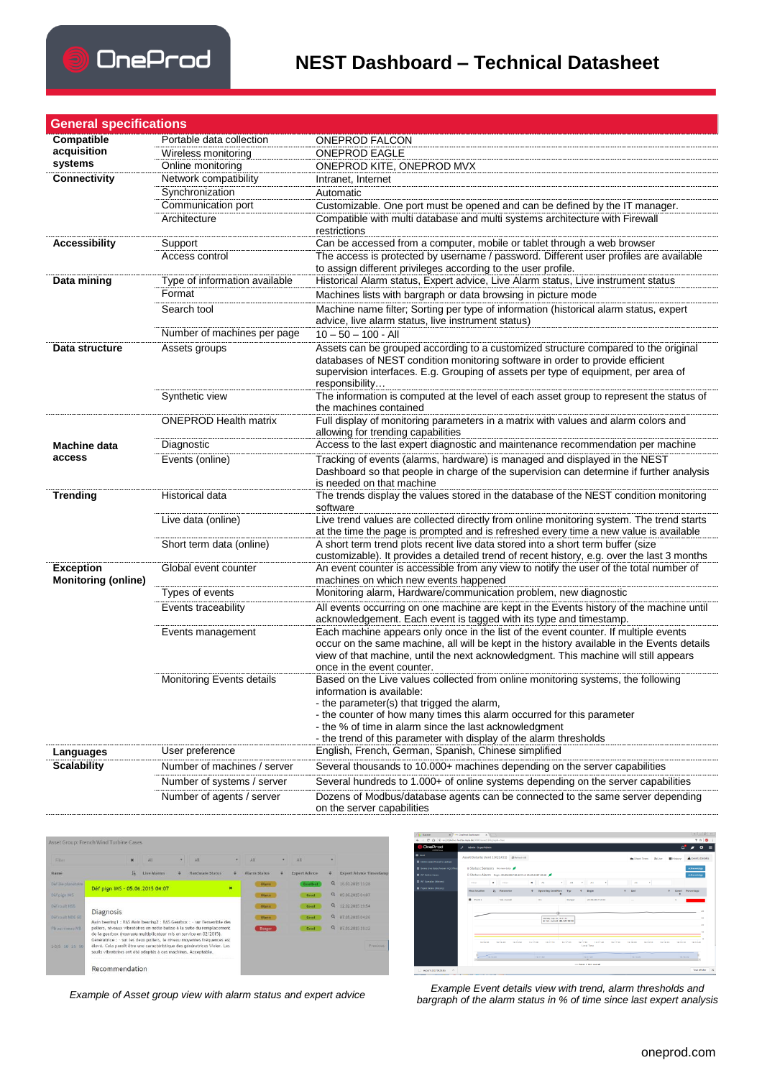

## **NEST Dashboard – Technical Datasheet**

| <b>General specifications</b>                  |                               |                                                                                                                                                                                                                                                                                                                                                                       |  |  |  |  |
|------------------------------------------------|-------------------------------|-----------------------------------------------------------------------------------------------------------------------------------------------------------------------------------------------------------------------------------------------------------------------------------------------------------------------------------------------------------------------|--|--|--|--|
| Compatible                                     | Portable data collection      | <b>ONEPROD FALCON</b>                                                                                                                                                                                                                                                                                                                                                 |  |  |  |  |
| acquisition                                    | Wireless monitoring           | <b>ONEPROD EAGLE</b>                                                                                                                                                                                                                                                                                                                                                  |  |  |  |  |
| systems                                        | Online monitoring             | ONEPROD KITE, ONEPROD MVX                                                                                                                                                                                                                                                                                                                                             |  |  |  |  |
| <b>Connectivity</b>                            | Network compatibility         | Intranet, Internet                                                                                                                                                                                                                                                                                                                                                    |  |  |  |  |
|                                                | Synchronization               | Automatic                                                                                                                                                                                                                                                                                                                                                             |  |  |  |  |
|                                                | Communication port            | Customizable. One port must be opened and can be defined by the IT manager.                                                                                                                                                                                                                                                                                           |  |  |  |  |
|                                                | Architecture                  | Compatible with multi database and multi systems architecture with Firewall<br>restrictions                                                                                                                                                                                                                                                                           |  |  |  |  |
| <b>Accessibility</b>                           | Support                       | Can be accessed from a computer, mobile or tablet through a web browser                                                                                                                                                                                                                                                                                               |  |  |  |  |
|                                                | Access control                | The access is protected by username / password. Different user profiles are available<br>to assign different privileges according to the user profile.                                                                                                                                                                                                                |  |  |  |  |
| Data mining                                    | Type of information available | Historical Alarm status, Expert advice, Live Alarm status, Live instrument status                                                                                                                                                                                                                                                                                     |  |  |  |  |
|                                                | Format                        | Machines lists with bargraph or data browsing in picture mode                                                                                                                                                                                                                                                                                                         |  |  |  |  |
|                                                | Search tool                   | Machine name filter; Sorting per type of information (historical alarm status, expert<br>advice, live alarm status, live instrument status)                                                                                                                                                                                                                           |  |  |  |  |
|                                                | Number of machines per page   | $10 - 50 - 100 - All$                                                                                                                                                                                                                                                                                                                                                 |  |  |  |  |
| Data structure                                 | Assets groups                 | Assets can be grouped according to a customized structure compared to the original<br>databases of NEST condition monitoring software in order to provide efficient                                                                                                                                                                                                   |  |  |  |  |
|                                                |                               | supervision interfaces. E.g. Grouping of assets per type of equipment, per area of<br>responsibility                                                                                                                                                                                                                                                                  |  |  |  |  |
|                                                | Synthetic view                | The information is computed at the level of each asset group to represent the status of<br>the machines contained                                                                                                                                                                                                                                                     |  |  |  |  |
|                                                | <b>ONEPROD Health matrix</b>  | Full display of monitoring parameters in a matrix with values and alarm colors and<br>allowing for trending capabilities                                                                                                                                                                                                                                              |  |  |  |  |
| Machine data                                   | Diagnostic                    | Access to the last expert diagnostic and maintenance recommendation per machine                                                                                                                                                                                                                                                                                       |  |  |  |  |
| access                                         | Events (online)               | Tracking of events (alarms, hardware) is managed and displayed in the NEST<br>Dashboard so that people in charge of the supervision can determine if further analysis<br>is needed on that machine                                                                                                                                                                    |  |  |  |  |
| <b>Trending</b>                                | Historical data               | The trends display the values stored in the database of the NEST condition monitoring<br>software                                                                                                                                                                                                                                                                     |  |  |  |  |
|                                                | Live data (online)            | Live trend values are collected directly from online monitoring system. The trend starts<br>at the time the page is prompted and is refreshed every time a new value is available                                                                                                                                                                                     |  |  |  |  |
|                                                | Short term data (online)      | A short term trend plots recent live data stored into a short term buffer (size<br>customizable). It provides a detailed trend of recent history, e.g. over the last 3 months                                                                                                                                                                                         |  |  |  |  |
| <b>Exception</b><br><b>Monitoring (online)</b> | Global event counter          | An event counter is accessible from any view to notify the user of the total number of<br>machines on which new events happened                                                                                                                                                                                                                                       |  |  |  |  |
|                                                | Types of events               | Monitoring alarm, Hardware/communication problem, new diagnostic                                                                                                                                                                                                                                                                                                      |  |  |  |  |
|                                                | Events traceability           | All events occurring on one machine are kept in the Events history of the machine until<br>acknowledgement. Each event is tagged with its type and timestamp.                                                                                                                                                                                                         |  |  |  |  |
|                                                | Events management             | Each machine appears only once in the list of the event counter. If multiple events<br>occur on the same machine, all will be kept in the history available in the Events details<br>view of that machine, until the next acknowledgment. This machine will still appears<br>once in the event counter.                                                               |  |  |  |  |
|                                                | Monitoring Events details     | Based on the Live values collected from online monitoring systems, the following<br>information is available:<br>- the parameter(s) that trigged the alarm,<br>- the counter of how many times this alarm occurred for this parameter<br>- the % of time in alarm since the last acknowledgment<br>- the trend of this parameter with display of the alarm thresholds |  |  |  |  |
| Languages                                      | User preference               | English, French, German, Spanish, Chinese simplified                                                                                                                                                                                                                                                                                                                  |  |  |  |  |
| <b>Scalability</b>                             | Number of machines / server   | Several thousands to 10.000+ machines depending on the server capabilities                                                                                                                                                                                                                                                                                            |  |  |  |  |
|                                                | Number of systems / server    | Several hundreds to 1.000+ of online systems depending on the server capabilities                                                                                                                                                                                                                                                                                     |  |  |  |  |
|                                                | Number of agents / server     | Dozens of Modbus/database agents can be connected to the same server depending<br>on the server capabilities                                                                                                                                                                                                                                                          |  |  |  |  |
|                                                |                               |                                                                                                                                                                                                                                                                                                                                                                       |  |  |  |  |

| Filter             |                                                                                                                                                                                                                                                                                                 | $\boldsymbol{\mathsf{x}}$ | All                | ٠ | All                                                                     | ٠                         | All                 | ٠        | $\Delta$ II          |                  |                                |
|--------------------|-------------------------------------------------------------------------------------------------------------------------------------------------------------------------------------------------------------------------------------------------------------------------------------------------|---------------------------|--------------------|---|-------------------------------------------------------------------------|---------------------------|---------------------|----------|----------------------|------------------|--------------------------------|
| Name               |                                                                                                                                                                                                                                                                                                 | 里                         | <b>Live Alarms</b> | ٠ | <b>Hardware Status</b>                                                  | ٠                         | <b>Alarm Status</b> | ٠        | <b>Expert Advice</b> |                  | <b>Expert Advice Timestamp</b> |
| Déf 2ie planetaire | Def pign IMS - 05.06.2015 04:07                                                                                                                                                                                                                                                                 |                           |                    |   |                                                                         | $\boldsymbol{\mathsf{x}}$ | <b>Alarmy</b>       |          | <b>Excellent</b>     | $\alpha$         | 16.01.2015 11:28               |
| Déf pign IMS       |                                                                                                                                                                                                                                                                                                 |                           |                    |   |                                                                         |                           | <b>Alarmi</b>       |          | Good                 | $\alpha$         | 05:06:2015 04:07               |
| Det roult HSS      |                                                                                                                                                                                                                                                                                                 |                           |                    |   |                                                                         |                           | <b>Alarmy</b>       |          | Good                 | $\alpha$         | 12.02.2015 19:54               |
| Dat roult NDE GE   | <b>Diagnosis</b>                                                                                                                                                                                                                                                                                |                           |                    |   |                                                                         | <b>Alarmy</b>             |                     | Good     | $\Omega$             | 07.05.2015 04:26 |                                |
| Philais miverau MB | Main bearing I: RAS Main bearing2: RAS Gearbox: - sur l'ensemble des<br>paliers, niveaux vibratoires en nette baisse à la suite du remplacement<br>de la gearbox (nouveau multiplicateur mis en service en 02/2015).<br>Génératrice : - sur les deux paliers, le niveau moyennes fréquences est |                           |                    |   | <b>Danger</b>                                                           |                           | Good                | $\Omega$ | 07.01.2015 10:12     |                  |                                |
| 1-5/5 10 25 50     | seuils vibratoires ont été adaptés à ces machines. Acceptable.                                                                                                                                                                                                                                  |                           |                    |   | ólevé. Cela paraît ôtre une caractéristique des génératrices Weier. Les |                           |                     |          |                      |                  | Previous                       |
|                    | Recommendation                                                                                                                                                                                                                                                                                  |                           |                    |   |                                                                         |                           |                     |          |                      |                  |                                |



Example Event details view with trend, alarm thresholds and<br>bargraph of the alarm status in % of time since last expert analysis